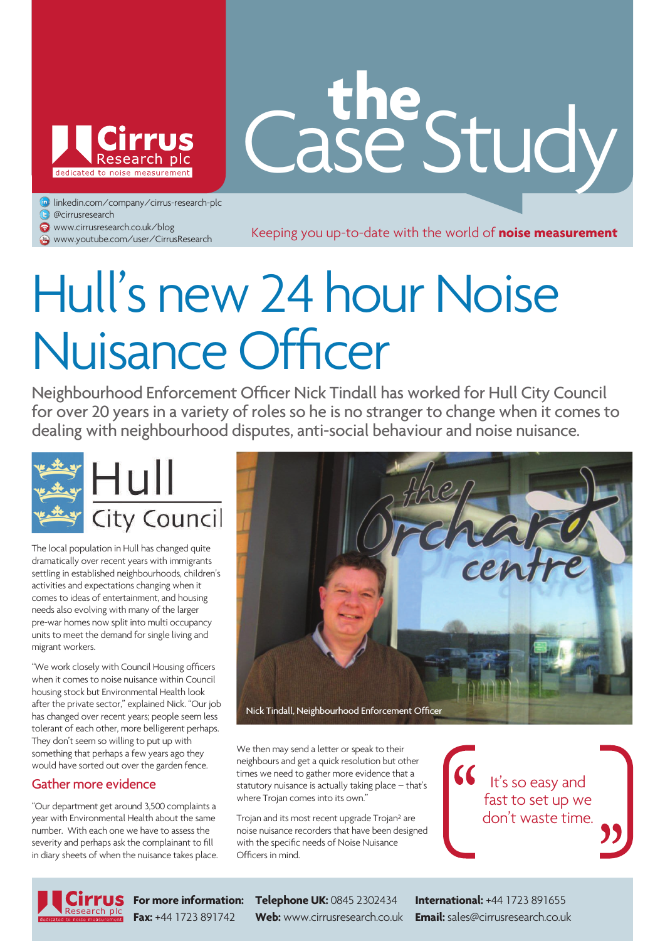

# Case Study **the**

linkedin.com/company/cirrus-research-plc

- **@**cirrusresearch
- www.cirrusresearch.co.uk/blog

**www.cirrusresearch.co.uk/plog**<br>
www.youtube.com/user/CirrusResearch Keeping you up-to-date with the world of **noise measurement** 

## Hull's new 24 hour Noise Nuisance Officer

Neighbourhood Enforcement Officer Nick Tindall has worked for Hull City Council for over 20 years in a variety of roles so he is no stranger to change when it comes to dealing with neighbourhood disputes, anti-social behaviour and noise nuisance.



The local population in Hull has changed quite dramatically over recent years with immigrants settling in established neighbourhoods, children's activities and expectations changing when it comes to ideas of entertainment, and housing needs also evolving with many of the larger pre-war homes now split into multi occupancy units to meet the demand for single living and migrant workers.

"We work closely with Council Housing officers when it comes to noise nuisance within Council housing stock but Environmental Health look after the private sector," explained Nick. "Our job has changed over recent years; people seem less tolerant of each other, more belligerent perhaps. They don't seem so willing to put up with something that perhaps a few years ago they would have sorted out over the garden fence.

#### Gather more evidence

"Our department get around 3,500 complaints a year with Environmental Health about the same number. With each one we have to assess the severity and perhaps ask the complainant to fill in diary sheets of when the nuisance takes place.



We then may send a letter or speak to their neighbours and get a quick resolution but other times we need to gather more evidence that a statutory nuisance is actually taking place – that's where Trojan comes into its own."

Trojan and its most recent upgrade Trojan² are noise nuisance recorders that have been designed with the specific needs of Noise Nuisance Officers in mind.

 $\mathcal{G}$  It's so easy and fast to set up we don't waste time.



**For more information: Telephone UK:** 0845 2302434 **International:** +44 1723 891655 **Fax:** +44 1723 891742 **Web:** www.cirrusresearch.co.uk **Email:** sales@cirrusresearch.co.uk